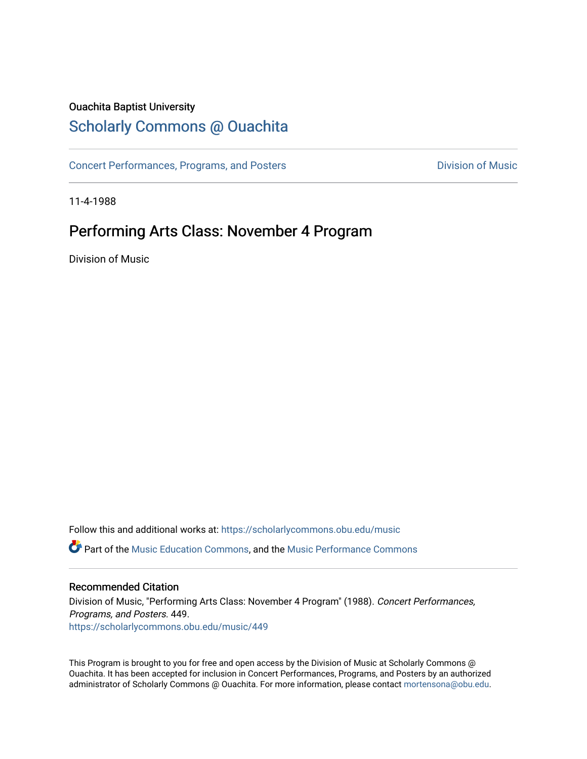### Ouachita Baptist University

# [Scholarly Commons @ Ouachita](https://scholarlycommons.obu.edu/)

[Concert Performances, Programs, and Posters](https://scholarlycommons.obu.edu/music) **Division of Music** Division of Music

11-4-1988

# Performing Arts Class: November 4 Program

Division of Music

Follow this and additional works at: [https://scholarlycommons.obu.edu/music](https://scholarlycommons.obu.edu/music?utm_source=scholarlycommons.obu.edu%2Fmusic%2F449&utm_medium=PDF&utm_campaign=PDFCoverPages)  **C** Part of the [Music Education Commons,](http://network.bepress.com/hgg/discipline/1246?utm_source=scholarlycommons.obu.edu%2Fmusic%2F449&utm_medium=PDF&utm_campaign=PDFCoverPages) and the Music Performance Commons

#### Recommended Citation

Division of Music, "Performing Arts Class: November 4 Program" (1988). Concert Performances, Programs, and Posters. 449. [https://scholarlycommons.obu.edu/music/449](https://scholarlycommons.obu.edu/music/449?utm_source=scholarlycommons.obu.edu%2Fmusic%2F449&utm_medium=PDF&utm_campaign=PDFCoverPages) 

This Program is brought to you for free and open access by the Division of Music at Scholarly Commons @ Ouachita. It has been accepted for inclusion in Concert Performances, Programs, and Posters by an authorized administrator of Scholarly Commons @ Ouachita. For more information, please contact [mortensona@obu.edu](mailto:mortensona@obu.edu).